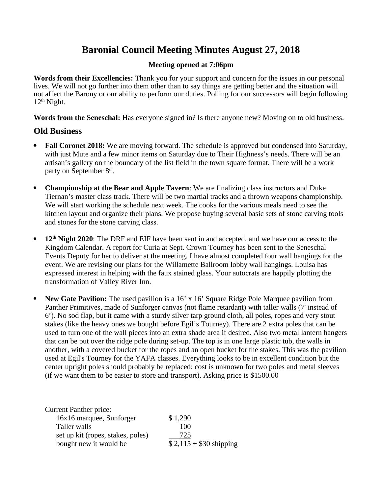# **Baronial Council Meeting Minutes August 27, 2018**

## **Meeting opened at 7:06pm**

**Words from their Excellencies:** Thank you for your support and concern for the issues in our personal lives. We will not go further into them other than to say things are getting better and the situation will not affect the Barony or our ability to perform our duties. Polling for our successors will begin following  $12<sup>th</sup>$  Night.

**Words from the Seneschal:** Has everyone signed in? Is there anyone new? Moving on to old business.

## **Old Business**

- **Fall Coronet 2018:** We are moving forward. The schedule is approved but condensed into Saturday, with just Mute and a few minor items on Saturday due to Their Highness's needs. There will be an artisan's gallery on the boundary of the list field in the town square format. There will be a work party on September  $8<sup>th</sup>$ .
- **Championship at the Bear and Apple Tavern**: We are finalizing class instructors and Duke Tiernan's master class track. There will be two martial tracks and a thrown weapons championship. We will start working the schedule next week. The cooks for the various meals need to see the kitchen layout and organize their plans. We propose buying several basic sets of stone carving tools and stones for the stone carving class.
- **12th Night 2020**: The DRF and EIF have been sent in and accepted, and we have our access to the Kingdom Calendar. A report for Curia at Sept. Crown Tourney has been sent to the Seneschal Events Deputy for her to deliver at the meeting. I have almost completed four wall hangings for the event. We are revising our plans for the Willamette Ballroom lobby wall hangings. Louisa has expressed interest in helping with the faux stained glass. Your autocrats are happily plotting the transformation of Valley River Inn.
- New Gate Pavilion: The used pavilion is a 16' x 16' Square Ridge Pole Marquee pavilion from Panther Primitives, made of Sunforger canvas (not flame retardant) with taller walls (7' instead of 6'). No sod flap, but it came with a sturdy silver tarp ground cloth, all poles, ropes and very stout stakes (like the heavy ones we bought before Egil's Tourney). There are 2 extra poles that can be used to turn one of the wall pieces into an extra shade area if desired. Also two metal lantern hangers that can be put over the ridge pole during set-up. The top is in one large plastic tub, the walls in another, with a covered bucket for the ropes and an open bucket for the stakes. This was the pavilion used at Egil's Tourney for the YAFA classes. Everything looks to be in excellent condition but the center upright poles should probably be replaced; cost is unknown for two poles and metal sleeves (if we want them to be easier to store and transport). Asking price is \$1500.00

| \$1,290                 |
|-------------------------|
| 100                     |
| 725                     |
| $$2,115 + $30$ shipping |
|                         |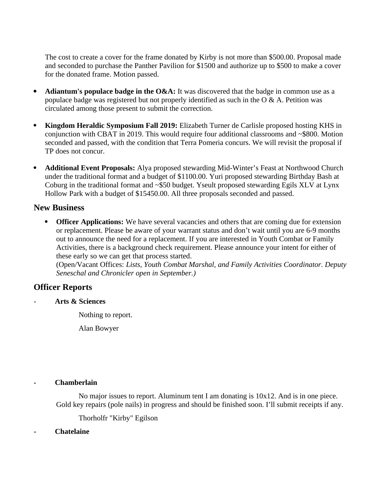The cost to create a cover for the frame donated by Kirby is not more than \$500.00. Proposal made and seconded to purchase the Panther Pavilion for \$1500 and authorize up to \$500 to make a cover for the donated frame. Motion passed.

- **Adiantum's populace badge in the O&A:** It was discovered that the badge in common use as a populace badge was registered but not properly identified as such in the O & A. Petition was circulated among those present to submit the correction.
- **Kingdom Heraldic Symposium Fall 2019:** Elizabeth Turner de Carlisle proposed hosting KHS in conjunction with CBAT in 2019. This would require four additional classrooms and ~\$800. Motion seconded and passed, with the condition that Terra Pomeria concurs. We will revisit the proposal if TP does not concur.
- **Additional Event Proposals:** Alya proposed stewarding Mid-Winter's Feast at Northwood Church under the traditional format and a budget of \$1100.00. Yuri proposed stewarding Birthday Bash at Coburg in the traditional format and ~\$50 budget. Yseult proposed stewarding Egils XLV at Lynx Hollow Park with a budget of \$15450.00. All three proposals seconded and passed.

## **New Business**

**• Officer Applications:** We have several vacancies and others that are coming due for extension or replacement. Please be aware of your warrant status and don't wait until you are 6-9 months out to announce the need for a replacement. If you are interested in Youth Combat or Family Activities, there is a background check requirement. Please announce your intent for either of these early so we can get that process started. (Open/Vacant Offices: *Lists, Youth Combat Marshal, and Family Activities Coordinator. Deputy Seneschal and Chronicler open in September.)*

## **Officer Reports**

- **Arts & Sciences** 

Nothing to report.

Alan Bowyer

## **- Chamberlain**

No major issues to report. Aluminum tent I am donating is  $10x12$ . And is in one piece. Gold key repairs (pole nails) in progress and should be finished soon. I'll submit receipts if any.

Thorholfr "Kirby" Egilson

## **- Chatelaine**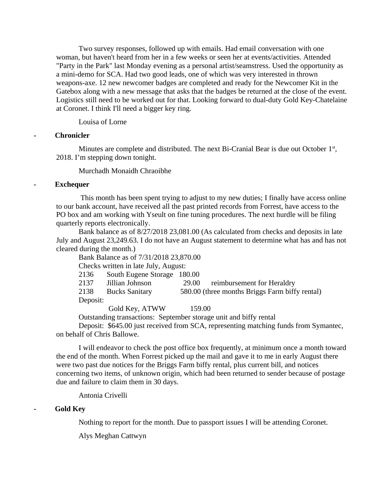Two survey responses, followed up with emails. Had email conversation with one woman, but haven't heard from her in a few weeks or seen her at events/activities. Attended "Party in the Park" last Monday evening as a personal artist/seamstress. Used the opportunity as a mini-demo for SCA. Had two good leads, one of which was very interested in thrown weapons-axe. 12 new newcomer badges are completed and ready for the Newcomer Kit in the Gatebox along with a new message that asks that the badges be returned at the close of the event. Logistics still need to be worked out for that. Looking forward to dual-duty Gold Key-Chatelaine at Coronet. I think I'll need a bigger key ring.

Louisa of Lorne

## **- Chronicler**

Minutes are complete and distributed. The next Bi-Cranial Bear is due out October  $1<sup>st</sup>$ , 2018. I'm stepping down tonight.

Murchadh Monaidh Chraoibhe

## **- Exchequer**

 This month has been spent trying to adjust to my new duties; I finally have access online to our bank account, have received all the past printed records from Forrest, have access to the PO box and am working with Yseult on fine tuning procedures. The next hurdle will be filing quarterly reports electronically.

Bank balance as of 8/27/2018 23,081.00 (As calculated from checks and deposits in late July and August 23,249.63. I do not have an August statement to determine what has and has not cleared during the month.)

Bank Balance as of 7/31/2018 23,870.00

Checks written in late July, August:

| 2136     | South Eugene Storage 180.00 |       |                                                |
|----------|-----------------------------|-------|------------------------------------------------|
| 2137     | Jillian Johnson             | 29.00 | reimbursement for Heraldry                     |
| 2138     | <b>Bucks Sanitary</b>       |       | 580.00 (three months Briggs Farm biffy rental) |
| Deposit: |                             |       |                                                |

Gold Key, ATWW 159.00

Outstanding transactions: September storage unit and biffy rental

Deposit: \$645.00 just received from SCA, representing matching funds from Symantec, on behalf of Chris Ballowe.

I will endeavor to check the post office box frequently, at minimum once a month toward the end of the month. When Forrest picked up the mail and gave it to me in early August there were two past due notices for the Briggs Farm biffy rental, plus current bill, and notices concerning two items, of unknown origin, which had been returned to sender because of postage due and failure to claim them in 30 days.

Antonia Crivelli

## **- Gold Key**

Nothing to report for the month. Due to passport issues I will be attending Coronet.

Alys Meghan Cattwyn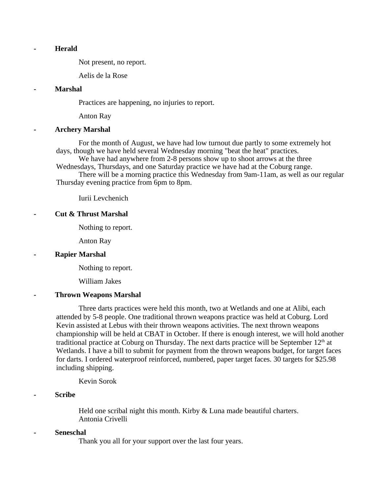#### **- Herald**

Not present, no report.

Aelis de la Rose

#### **- Marshal**

Practices are happening, no injuries to report.

Anton Ray

#### **- Archery Marshal**

For the month of August, we have had low turnout due partly to some extremely hot days, though we have held several Wednesday morning "beat the heat" practices.

We have had anywhere from 2-8 persons show up to shoot arrows at the three Wednesdays, Thursdays, and one Saturday practice we have had at the Coburg range.

There will be a morning practice this Wednesday from 9am-11am, as well as our regular Thursday evening practice from 6pm to 8pm.

Iurii Levchenich

#### **- Cut & Thrust Marshal**

Nothing to report.

Anton Ray

#### **- Rapier Marshal**

Nothing to report.

William Jakes

#### **- Thrown Weapons Marshal**

Three darts practices were held this month, two at Wetlands and one at Alibi, each attended by 5-8 people. One traditional thrown weapons practice was held at Coburg. Lord Kevin assisted at Lebus with their thrown weapons activities. The next thrown weapons championship will be held at CBAT in October. If there is enough interest, we will hold another traditional practice at Coburg on Thursday. The next darts practice will be September  $12<sup>th</sup>$  at Wetlands. I have a bill to submit for payment from the thrown weapons budget, for target faces for darts. I ordered waterproof reinforced, numbered, paper target faces. 30 targets for \$25.98 including shipping.

Kevin Sorok

#### **- Scribe**

Held one scribal night this month. Kirby & Luna made beautiful charters. Antonia Crivelli

#### **- Seneschal**

Thank you all for your support over the last four years.